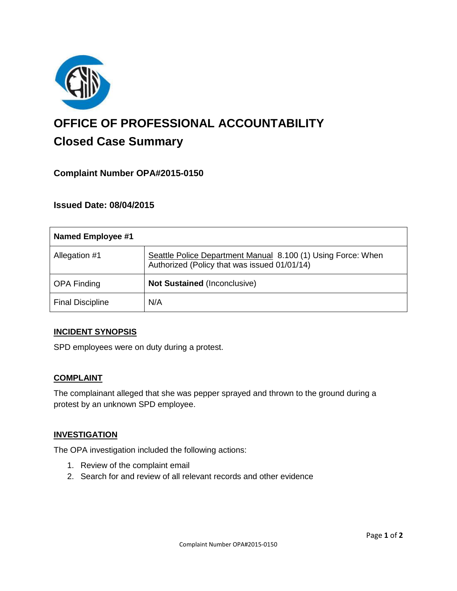

# **OFFICE OF PROFESSIONAL ACCOUNTABILITY Closed Case Summary**

# **Complaint Number OPA#2015-0150**

## **Issued Date: 08/04/2015**

| <b>Named Employee #1</b> |                                                                                                              |
|--------------------------|--------------------------------------------------------------------------------------------------------------|
| Allegation #1            | Seattle Police Department Manual 8.100 (1) Using Force: When<br>Authorized (Policy that was issued 01/01/14) |
| <b>OPA Finding</b>       | <b>Not Sustained (Inconclusive)</b>                                                                          |
| <b>Final Discipline</b>  | N/A                                                                                                          |

#### **INCIDENT SYNOPSIS**

SPD employees were on duty during a protest.

#### **COMPLAINT**

The complainant alleged that she was pepper sprayed and thrown to the ground during a protest by an unknown SPD employee.

#### **INVESTIGATION**

The OPA investigation included the following actions:

- 1. Review of the complaint email
- 2. Search for and review of all relevant records and other evidence